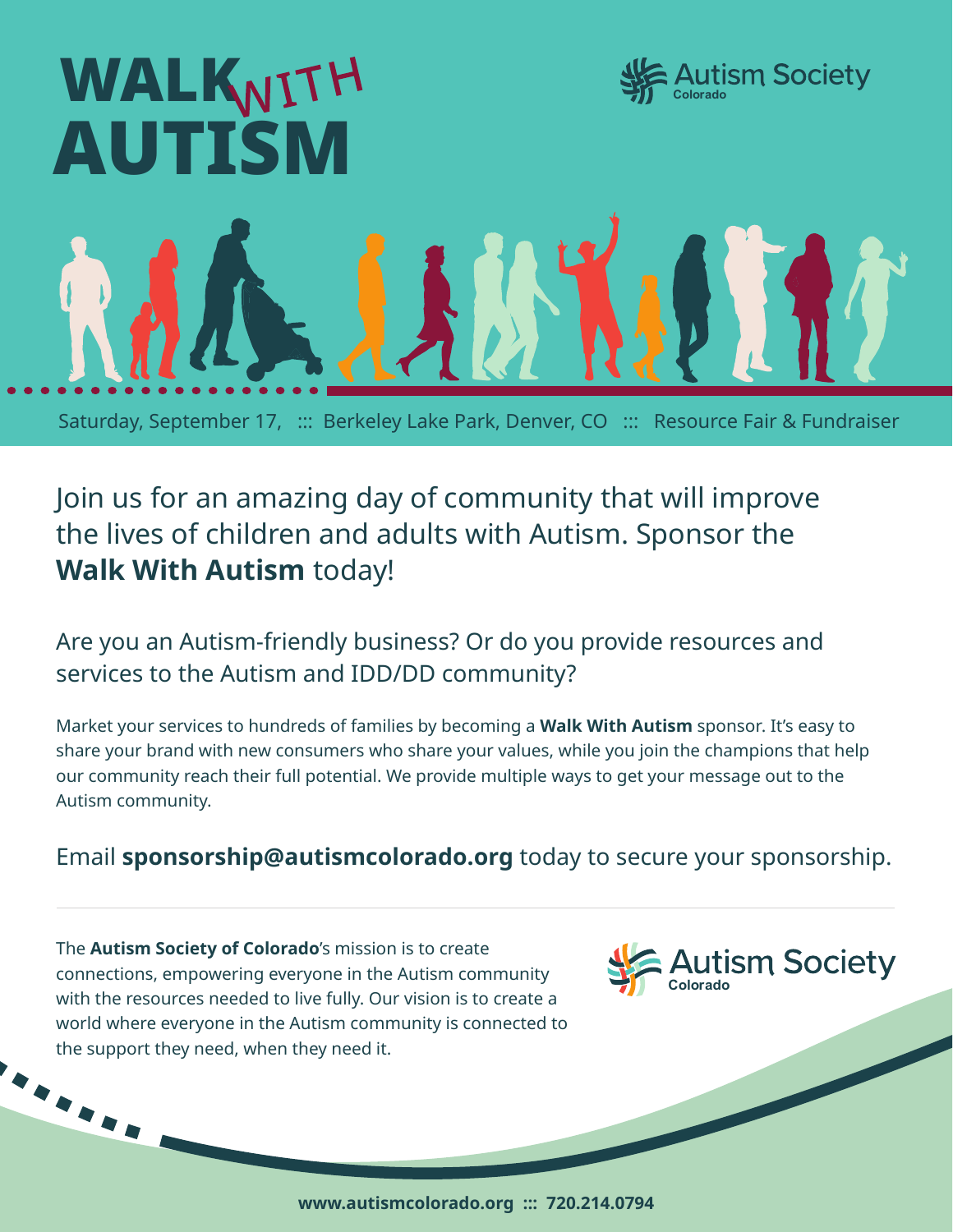

# Join us for an amazing day of community that will improve the lives of children and adults with Autism. Sponsor the **Walk With Autism** today!

Are you an Autism-friendly business? Or do you provide resources and services to the Autism and IDD/DD community?

Market your services to hundreds of families by becoming a **Walk With Autism** sponsor. It's easy to share your brand with new consumers who share your values, while you join the champions that help our community reach their full potential. We provide multiple ways to get your message out to the Autism community.

### Email **sponsorship@autismcolorado.org** today to secure your sponsorship.

The **Autism Society of Colorado**'s mission is to create connections, empowering everyone in the Autism community with the resources needed to live fully. Our vision is to create a world where everyone in the Autism community is connected to the support they need, when they need it.

**ARR** 



**www.autismcolorado.org ::: 720.214.0794**